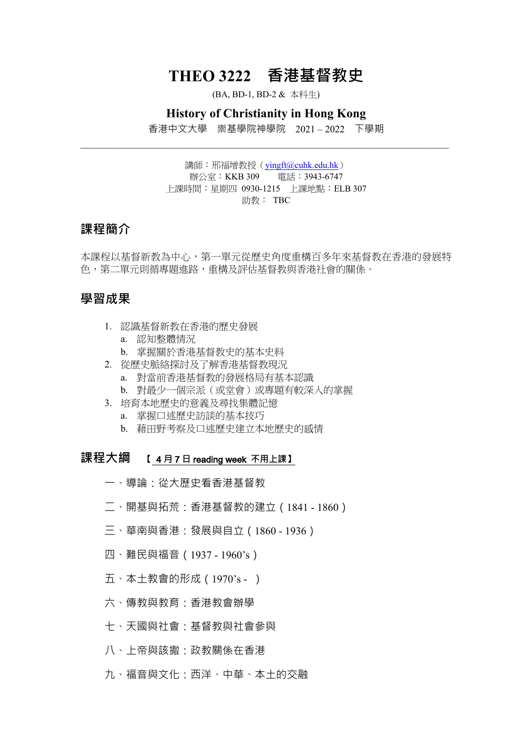# **THEO 3222 香港基督教史**

(BA, BD-1, BD-2 & 本科生)

#### **History of Christianity in Hong Kong**

香港中文大學 崇基學院神學院 2021 – 2022 下學期  $\_$ 

> 講師: 邢福增教授 (yingft@cuhk.edu.hk) 辦公室:KKB 309 電話:3943-6747 上課時間:星期四 0930-1215 上課地點:ELB 307 助教: TBC

## **課程簡介**

本課程以基督新教為中心,第一單元從歷史角度重構百多年來基督教在香港的發展特 色,第二單元則循專題進路,重構及評估基督教與香港社會的關係。

# **學習成果**

- 1. 認識基督新教在香港的歷史發展
	- a. 認知整體情況
	- b. 掌握關於香港基督教史的基本史料
- 2. 從歷史脈絡探討及了解香港基督教現況
	- a. 對當前香港基督教的發展格局有基本認識
	- b. 對最少一個宗派(或堂會)或專題有較深入的掌握
- 3. 培育本地歷史的意義及尋找集體記憶
	- a. 掌握口述歷史訪談的基本技巧
	- b. 藉田野考察及口述歷史建立本地歷史的感情

# **課程大綱 【 4** 月 7 日 reading week 不用上課】

- 一、導論:從大歷史看香港基督教
- 二、開基與拓荒:香港基督教的建立(1841 1860)
- 三、華南與香港:發展與自立(1860 1936)
- 四、難民與福音(1937 1960's)
- 五、本土教會的形成(1970's )
- 六、傳教與教育:香港教會辦學
- 七、天國與社會:基督教與社會參與
- 八、上帝與該撒:政教關係在香港
- 九、福音與文化:西洋、中華、本土的交融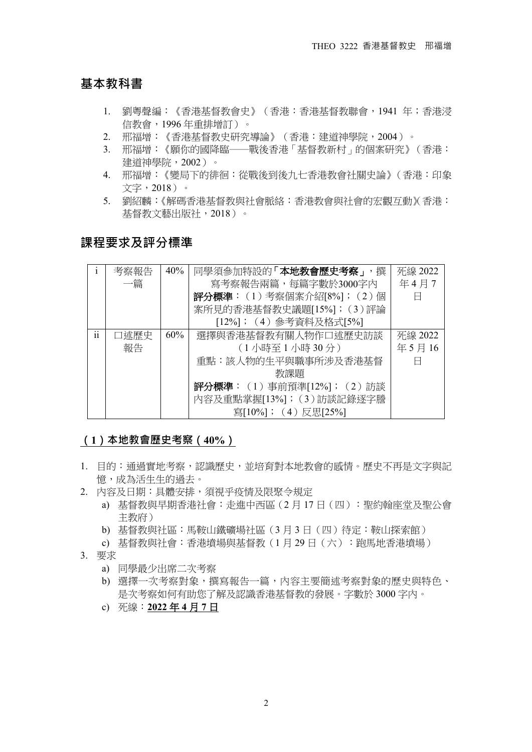# **基本教科書**

- 1. 劉粵聲編:《香港基督教會史》(香港:香港基督教聯會,1941 年;香港浸 信教會,1996 年重排增訂)。
- 2. 邢福增:《香港基督教史研究導論》(香港:建道神學院,2004)。
- 3. 邢福增:《願你的國降臨──戰後香港「基督教新村」的個案研究》(香港: 建道神學院,2002)。
- 4. 邢福增:《變局下的徘徊:從戰後到後九七香港教會社關史論》(香港:印象 文字,2018)。
- 5. 劉紹麟:《解碼香港基督教與社會脈絡:香港教會與社會的宏觀互動》(香港: 基督教文藝出版社,2018)。

# **課程要求及評分標準**

|                 | 考察報告 | 40% | 同學須參加特設的「本地教會歷史考察」,撰                | 死線 2022 |
|-----------------|------|-----|-------------------------------------|---------|
|                 | 一篇   |     | 寫考察報告兩篇,每篇字數於3000字內                 | 年4月7    |
|                 |      |     | 評分標準: (1)考察個案介紹[8%]; (2)個           | A       |
|                 |      |     | 案所見的香港基督教史議題[15%]; (3)評論            |         |
|                 |      |     | [12%];(4)參考資料及格式[5%]                |         |
| $\ddotsc$<br>11 | 口述歷史 | 60% | 選擇與香港基督教有關人物作口述歷史訪談                 | 死線 2022 |
|                 | 報告   |     | (1小時至1小時30分)                        | 年5月16   |
|                 |      |     | 重點:該人物的生平與職事所涉及香港基督                 |         |
|                 |      |     | 教課題                                 |         |
|                 |      |     | <b>評分標準</b> : (1) 事前預準[12%]; (2) 訪談 |         |
|                 |      |     | 內容及重點掌握[13%]; (3)訪談記錄逐字謄            |         |
|                 |      |     | 寫[10%]; (4) 反思[25%]                 |         |

#### **(1)本地教會歷史考察(40%)**

- 1. 目的:通過實地考察,認識歷史,並培育對本地教會的感情。歷史不再是文字與記 憶,成為活生生的過去。
- 2. 內容及日期:具體安排,須視乎疫情及限聚令規定
	- a) 基督教與早期香港社會:走進中西區(2 月 17 日(四):聖約翰座堂及聖公會 主教府)
	- b) 基督教與社區:馬鞍山鐵礦場社區(3 月 3 日(四)待定:鞍山探索館)
	- c) 基督教與社會:香港墳場與基督教(1 月 29 日(六):跑馬地香港墳場)
- 3. 要求
	- a) 同學最少出席二次考察
	- b) 選擇一次考察對象,撰寫報告一篇,內容主要簡述考察對象的歷史與特色、 是次考察如何有助您了解及認識香港基督教的發展。字數於 3000 字內。
	- c) 死線:**2022** 年 **4** 月 **7** 日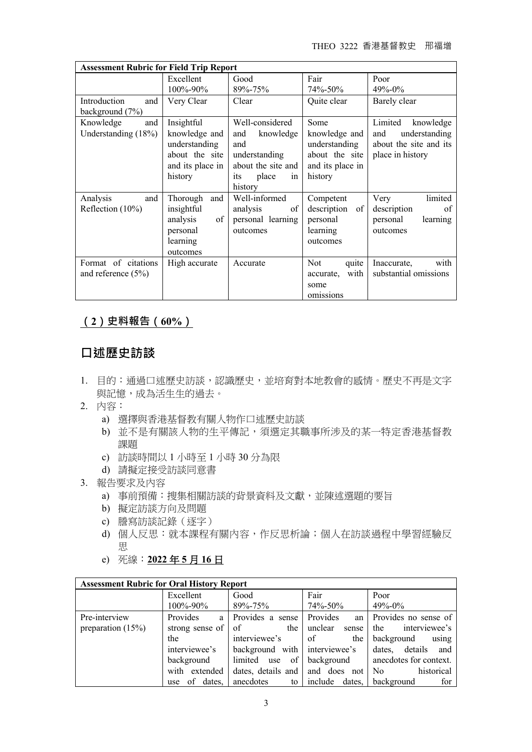THEO 3222 香港基督教史 邢福增

| <b>Assessment Rubric for Field Trip Report</b> |                  |                    |                     |                        |  |  |
|------------------------------------------------|------------------|--------------------|---------------------|------------------------|--|--|
|                                                | Excellent        | Good               | Fair                | Poor                   |  |  |
|                                                | 100%-90%         | 89%-75%            | 74%-50%             | $49\% - 0\%$           |  |  |
| Introduction<br>and                            | Very Clear       | Clear              | Quite clear         | Barely clear           |  |  |
| background (7%)                                |                  |                    |                     |                        |  |  |
| Knowledge<br>and                               | Insightful       | Well-considered    | Some                | Limited<br>knowledge   |  |  |
| Understanding (18%)                            | knowledge and    | knowledge<br>and   | knowledge and       | understanding<br>and   |  |  |
|                                                | understanding    | and                | understanding       | about the site and its |  |  |
|                                                | about the site   | understanding      | about the site      | place in history       |  |  |
|                                                | and its place in | about the site and | and its place in    |                        |  |  |
|                                                | history          | place<br>its<br>1n | history             |                        |  |  |
|                                                |                  | history            |                     |                        |  |  |
| and<br>Analysis                                | Thorough<br>and  | Well-informed      | Competent           | limited<br>Very        |  |  |
| Reflection $(10\%)$                            | insightful       | analysis<br>of     | description<br>of   | of<br>description      |  |  |
|                                                | analysis<br>of   | personal learning  | personal            | personal<br>learning   |  |  |
|                                                | personal         | outcomes           | learning            | outcomes               |  |  |
|                                                | learning         |                    | outcomes            |                        |  |  |
|                                                | outcomes         |                    |                     |                        |  |  |
| Format of citations                            | High accurate    | Accurate           | <b>Not</b><br>quite | with<br>Inaccurate,    |  |  |
| and reference (5%)                             |                  |                    | with<br>accurate,   | substantial omissions  |  |  |
|                                                |                  |                    | some                |                        |  |  |
|                                                |                  |                    | omissions           |                        |  |  |

# **(2)史料報告(60%)**

# **口述歷史訪談**

- 1. 目的:通過口述歷史訪談,認識歷史,並培育對本地教會的感情。歷史不再是文字 與記憶,成為活生生的過去。
- 2. 內容:
	- a) 選擇與香港基督教有關人物作口述歷史訪談
	- b) 並不是有關該人物的生平傳記,須選定其職事所涉及的某一特定香港基督教 課題
	- c) 訪談時間以 1 小時至 1 小時 30 分為限
	- d) 請擬定接受訪談同意書
- 3. 報告要求及內容
	- a) 事前預備:搜集相關訪談的背景資料及文獻,並陳述選題的要旨
	- b) 擬定訪談方向及問題
	- c) 謄寫訪談記錄(逐字)
	- d) 個人反思: 就本課程有關內容, 作反思析論; 個人在訪談過程中學習經驗反 思
	- e) 死線:**2022** 年 **5** 月 **16** 日

| <b>Assessment Rubric for Oral History Report</b> |                 |                                              |                   |                                                  |  |
|--------------------------------------------------|-----------------|----------------------------------------------|-------------------|--------------------------------------------------|--|
|                                                  | Excellent       | Good                                         | Fair              | Poor                                             |  |
|                                                  | 100%-90%        | 89%-75%                                      | 74%-50%           | 49%-0%                                           |  |
| Pre-interview                                    | Provides<br>a l | Provides a sense                             | Provides          | an Provides no sense of                          |  |
| preparation $(15%)$                              | strong sense of | the<br>of                                    | unclear<br>sense  | interviewee's<br>the                             |  |
|                                                  | the             | interviewee's                                | $\circ$ of<br>the | background<br>using                              |  |
|                                                  | interviewee's   | background with interviewee's dates, details |                   | and                                              |  |
|                                                  | background      |                                              |                   | limited use of background anecdotes for context. |  |
|                                                  | with extended   | dates, details and and does not No           |                   | historical                                       |  |
|                                                  | use of dates,   | anecdotes                                    | to include dates, | background<br>for                                |  |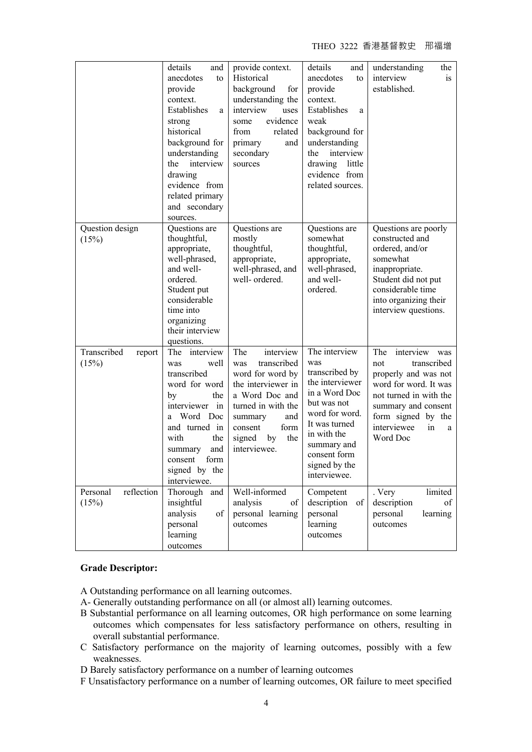THEO 3222 香港基督教史 邢福增

|                                 | details<br>and<br>anecdotes<br>to<br>provide<br>context.<br>Establishes<br>a<br>strong<br>historical<br>background for<br>understanding<br>interview<br>the<br>drawing<br>evidence from<br>related primary<br>and secondary<br>sources. | provide context.<br>Historical<br>background<br>for<br>understanding the<br>interview<br>uses<br>evidence<br>some<br>from<br>related<br>primary<br>and<br>secondary<br>sources                       | details<br>and<br>anecdotes<br>to<br>provide<br>context.<br>Establishes<br>a<br>weak<br>background for<br>understanding<br>interview<br>the<br>drawing little<br>evidence from<br>related sources.          | understanding<br>the<br>interview<br>is<br>established.                                                                                                                                                     |
|---------------------------------|-----------------------------------------------------------------------------------------------------------------------------------------------------------------------------------------------------------------------------------------|------------------------------------------------------------------------------------------------------------------------------------------------------------------------------------------------------|-------------------------------------------------------------------------------------------------------------------------------------------------------------------------------------------------------------|-------------------------------------------------------------------------------------------------------------------------------------------------------------------------------------------------------------|
| Question design<br>(15%)        | Questions are<br>thoughtful,<br>appropriate,<br>well-phrased,<br>and well-<br>ordered.<br>Student put<br>considerable<br>time into<br>organizing<br>their interview<br>questions.                                                       | Questions are<br>mostly<br>thoughtful,<br>appropriate,<br>well-phrased, and<br>well- ordered.                                                                                                        | Questions are<br>somewhat<br>thoughtful,<br>appropriate,<br>well-phrased,<br>and well-<br>ordered.                                                                                                          | Questions are poorly<br>constructed and<br>ordered, and/or<br>somewhat<br>inappropriate.<br>Student did not put<br>considerable time<br>into organizing their<br>interview questions.                       |
| Transcribed<br>report<br>(15%)  | interview<br>The<br>well<br>was<br>transcribed<br>word for word<br>the<br>by<br>interviewer in<br>Word Doc<br>a<br>and turned in<br>with<br>the<br>and<br>summary<br>form<br>consent<br>signed by the<br>interviewee.                   | The<br>interview<br>transcribed<br>was<br>word for word by<br>the interviewer in<br>a Word Doc and<br>turned in with the<br>summary<br>and<br>form<br>consent<br>the<br>signed<br>by<br>interviewee. | The interview<br>was<br>transcribed by<br>the interviewer<br>in a Word Doc<br>but was not<br>word for word.<br>It was turned<br>in with the<br>summary and<br>consent form<br>signed by the<br>interviewee. | interview<br>The<br>was<br>transcribed<br>not<br>properly and was not<br>word for word. It was<br>not turned in with the<br>summary and consent<br>form signed by the<br>interviewee<br>in<br>a<br>Word Doc |
| Personal<br>reflection<br>(15%) | Thorough<br>and<br>insightful<br>analysis<br>of<br>personal<br>learning<br>outcomes                                                                                                                                                     | Well-informed<br>analysis<br>of<br>personal learning<br>outcomes                                                                                                                                     | Competent<br>description of<br>personal<br>learning<br>outcomes                                                                                                                                             | limited<br>. Very<br>description<br>of<br>personal<br>learning<br>outcomes                                                                                                                                  |

#### **Grade Descriptor:**

A Outstanding performance on all learning outcomes.

- A- Generally outstanding performance on all (or almost all) learning outcomes.
- B Substantial performance on all learning outcomes, OR high performance on some learning outcomes which compensates for less satisfactory performance on others, resulting in overall substantial performance.
- C Satisfactory performance on the majority of learning outcomes, possibly with a few weaknesses.
- D Barely satisfactory performance on a number of learning outcomes
- F Unsatisfactory performance on a number of learning outcomes, OR failure to meet specified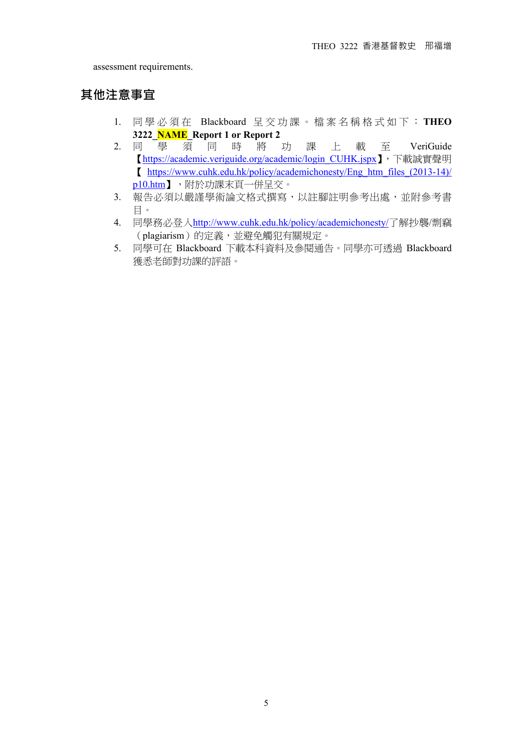assessment requirements.

# **其他注意事宜**

- 1. 同 學 必 須 在 Blackboard 呈交功 課 。 檔 案 名 稱 格 式 如 下 : **THEO 3222\_NAME\_Report 1 or Report 2**
- 2. 同學須同時 將 功 課 上 載 至 VeriGuide 【https://academic.veriguide.org/academic/login\_CUHK.jspx】,下載誠實聲明 【 https://www.cuhk.edu.hk/policy/academichonesty/Eng\_htm\_files\_(2013-14)/ p10.htm】,附於功課末頁一併呈交。
- 3. 報告必須以嚴謹學術論文格式撰寫,以註腳註明參考出處,並附參考書 目。
- 4. 同學務必登入http://www.cuhk.edu.hk/policy/academichonesty/了解抄襲/剽竊 (plagiarism)的定義,並避免觸犯有關規定。
- 5. 同學可在 Blackboard 下載本科資料及參閱通告。同學亦可透過 Blackboard 獲悉老師對功課的評語。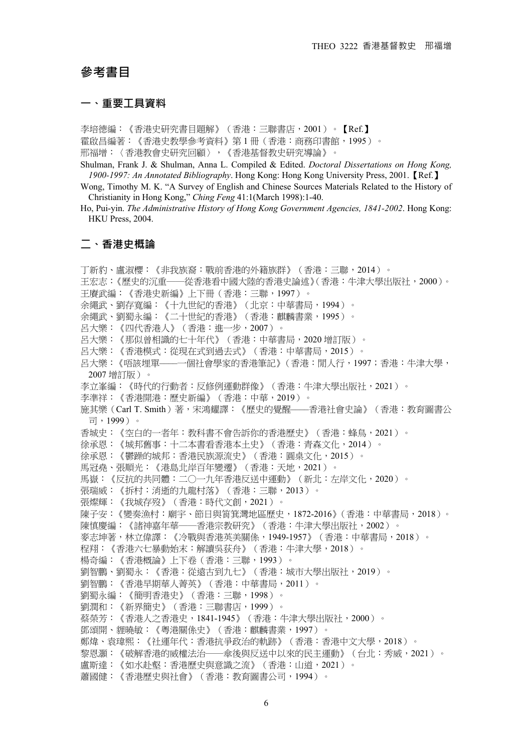### **參考書目**

#### **一、重要工具資料**!

李培德編:《香港史研究書目題解》(香港:三聯書店,2001)。【Ref.】 霍啟昌編著:《香港史教學參考資料》第 1 冊(香港:商務印書館,1995)。 邢福增:〈香港教會史研究回顧〉,《香港基督教史研究導論》。

Shulman, Frank J. & Shulman, Anna L. Compiled & Edited. *Doctoral Dissertations on Hong Kong, 1900-1997: An Annotated Bibliography*. Hong Kong: Hong Kong University Press, 2001.【Ref.】

Wong, Timothy M. K. "A Survey of English and Chinese Sources Materials Related to the History of Christianity in Hong Kong," *Ching Feng* 41:1(March 1998):1-40.

Ho, Pui-yin. *The Administrative History of Hong Kong Government Agencies, 1841-2002*. Hong Kong: HKU Press, 2004.

# **二、香港史概論**!

丁新豹、盧淑櫻:《非我族裔:戰前香港的外籍族群》(香港:三聯,2014)。 王宏志:《歷史的沉重──從香港看中國大陸的香港史論述》(香港:牛津大學出版社,2000)。 王賡武編:《香港史新編》上下冊(香港:三聯,1997)。 余繩武、劉存寬編:《十九世紀的香港》(北京:中華書局,1994)。 余繩武、劉蜀永編:《二十世紀的香港》(香港:麒麟書業,1995)。 呂大樂:《四代香港人》(香港:進一步,2007)。 呂大樂:《那似曾相識的七十年代》(香港:中華書局,2020 增訂版)。 呂大樂:《香港模式:從現在式到過去式》(香港:中華書局,2015)。 呂大樂:《唔該埋單––––一個社會學家的香港筆記》(香港:閒人行,1997;香港:牛津大學, 2007 增訂版)。 李立峯編:《時代的行動者:反修例運動群像》(香港:牛津大學出版社,2021)。 李準祥:《香港開港:歷史新編》(香港:中華,2019)。 施其樂(Carl T. Smith)著,宋鴻耀譯:《歷史的覺醒——香港社會史論》(香港:教育圖書公 司,1999)。 香城史:《空白的一者年:教科書不會告訴你的香港歷史》(香港:蜂鳥,2021)。 徐承恩:《城邦舊事:十二本書看香港本土史》(香港:青森文化,2014)。 徐承恩:《鬱躁的城邦:香港民族源流史》(香港:圓桌文化,2015)。 馬冠堯、張順光:《港島北岸百年變遷》(香港:天地,2021)。 馬嶽:《反抗的共同體:二○一九年香港反送中運動》(新北:左岸文化,2020)。 張瑞威:《拆村:消逝的九龍村落》(香港:三聯,2013)。 張燦輝:《我城存歿》(香港:時代文創,2021)。 陳子安:《變奏漁村:廟宇、節日與筲箕灣地區歷史,1872-2016》(香港:中華書局,2018)。 陳慎慶編:《諸神嘉年華——香港宗教研究》(香港:牛津大學出版社,2002)。 麥志坤著,林立偉譯:《冷戰與香港英美關係,1949-1957》(香港:中華書局,2018)。 程翔:《香港六七暴動始末:解讀吳荻舟》(香港:牛津大學,2018)。 楊奇編:《香港概論》上下卷(香港:三聯,1993)。 劉智鵬、劉蜀永:《香港:從遠古到九七》(香港:城市大學出版社,2019)。 劉智鵬:《香港早期華人菁英》(香港:中華書局,2011)。 劉蜀永編:《簡明香港史》(香港:三聯,1998)。 劉潤和:《新界簡史》(香港:三聯書店,1999)。 蔡榮芳:《香港人之香港史,1841-1945》(香港:牛津大學出版社,2000)。 鄧頌開、貍曉敏:《粵港關係史》(香港:麒麟書業,1997)。 鄭煒、袁瑋熙:《社運年代:香港抗爭政治的軌跡》(香港:香港中文大學,2018)。 黎恩灝:《破解香港的威權法治──傘後與反送中以來的民主運動》(台北:秀威,2021)。 盧斯達:《如水赴壑:香港歷史與意識之流》(香港:山道,2021)。 蕭國健:《香港歷史與社會》(香港:教育圖書公司,1994)。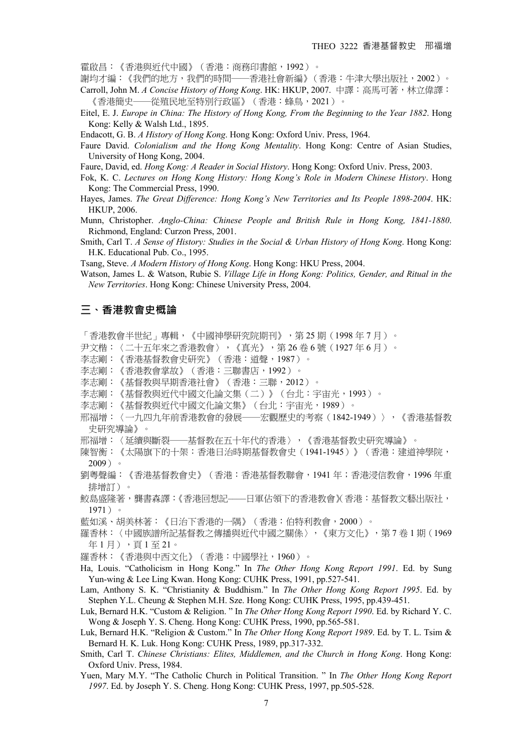霍啟昌:《香港與近代中國》(香港:商務印書館,1992)。

謝均才編:《我們的地方,我們的時間──香港社會新編》(香港:牛津大學出版社,2002)。

- Carroll, John M. *A Concise History of Hong Kong*. HK: HKUP, 2007. 中譯:高馬可著,林立偉譯: 《香港簡史──從殖民地至特別行政區》(香港:蜂鳥,2021)。
- Eitel, E. J. *Europe in China: The History of Hong Kong, From the Beginning to the Year 1882*. Hong Kong: Kelly & Walsh Ltd., 1895.

Endacott, G. B. *A History of Hong Kong*. Hong Kong: Oxford Univ. Press, 1964.

Faure David. *Colonialism and the Hong Kong Mentality*. Hong Kong: Centre of Asian Studies, University of Hong Kong, 2004.

Faure, David, ed. *Hong Kong: A Reader in Social History*. Hong Kong: Oxford Univ. Press, 2003.

- Fok, K. C. *Lectures on Hong Kong History: Hong Kong's Role in Modern Chinese History*. Hong Kong: The Commercial Press, 1990.
- Hayes, James. *The Great Difference: Hong Kong's New Territories and Its People 1898-2004*. HK: HKUP, 2006.
- Munn, Christopher. *Anglo-China: Chinese People and British Rule in Hong Kong, 1841-1880*. Richmond, England: Curzon Press, 2001.
- Smith, Carl T. *A Sense of History: Studies in the Social & Urban History of Hong Kong*. Hong Kong: H.K. Educational Pub. Co., 1995.
- Tsang, Steve. *A Modern History of Hong Kong*. Hong Kong: HKU Press, 2004.

Watson, James L. & Watson, Rubie S. *Village Life in Hong Kong: Politics, Gender, and Ritual in the New Territories*. Hong Kong: Chinese University Press, 2004.

#### **三、香港教會史概論**!

「香港教會半世紀」專輯,《中國神學研究院期刊》,第 25 期(1998 年 7 月)。

- 尹文楷:〈二十五年來之香港教會〉,《真光》,第 26 卷 6 號(1927 年 6 月)。
- 李志剛:《香港基督教會史研究》(香港:道聲,1987)。
- 李志剛:《香港教會掌故》(香港:三聯書店,1992)。
- 李志剛:《基督教與早期香港社會》(香港:三聯,2012)。
- 李志剛:《基督教與近代中國文化論文集(二)》(台北:宇宙光,1993)。
- 李志剛:《基督教與近代中國文化論文集》(台北:宇宙光,1989)。

邢福增:〈一九四九年前香港教會的發展──宏觀歷史的考察(1842-1949)〉,《香港基督教 史研究導論》。

- 邢福增:〈延續與斷裂──基督教在五十年代的香港〉,《香港基督教史研究導論》。
- 陳智衡:《太陽旗下的十架:香港日治時期基督教會史(1941-1945)》(香港:建道神學院, 2009)。
- 劉粵聲編:《香港基督教會史》(香港:香港基督教聯會,1941 年;香港浸信教會,1996 年重 排增訂)。
- 鮫島盛隆著,龔書森譯:《香港回想記——日軍佔領下的香港教會》(香港:基督教文藝出版社, 1971)。
- 藍如溪、胡美林著:《日治下香港的一隅》(香港:伯特利教會,2000)。
- 羅香林:〈中國族譜所記基督教之傳播與近代中國之關係〉,《東方文化》,第 7 卷 1 期(1969 年 1 月), 頁 1 至 21。
- 羅香林:《香港與中西文化》(香港:中國學社,1960)。
- Ha, Louis. "Catholicism in Hong Kong." In *The Other Hong Kong Report 1991*. Ed. by Sung Yun-wing & Lee Ling Kwan. Hong Kong: CUHK Press, 1991, pp.527-541.
- Lam, Anthony S. K. "Christianity & Buddhism." In *The Other Hong Kong Report 1995*. Ed. by Stephen Y.L. Cheung & Stephen M.H. Sze. Hong Kong: CUHK Press, 1995, pp.439-451.
- Luk, Bernard H.K. "Custom & Religion. " In *The Other Hong Kong Report 1990*. Ed. by Richard Y. C. Wong & Joseph Y. S. Cheng. Hong Kong: CUHK Press, 1990, pp.565-581.
- Luk, Bernard H.K. "Religion & Custom." In *The Other Hong Kong Report 1989*. Ed. by T. L. Tsim & Bernard H. K. Luk. Hong Kong: CUHK Press, 1989, pp.317-332.
- Smith, Carl T. *Chinese Christians: Elites, Middlemen, and the Church in Hong Kong*. Hong Kong: Oxford Univ. Press, 1984.
- Yuen, Mary M.Y. "The Catholic Church in Political Transition. " In *The Other Hong Kong Report 1997*. Ed. by Joseph Y. S. Cheng. Hong Kong: CUHK Press, 1997, pp.505-528.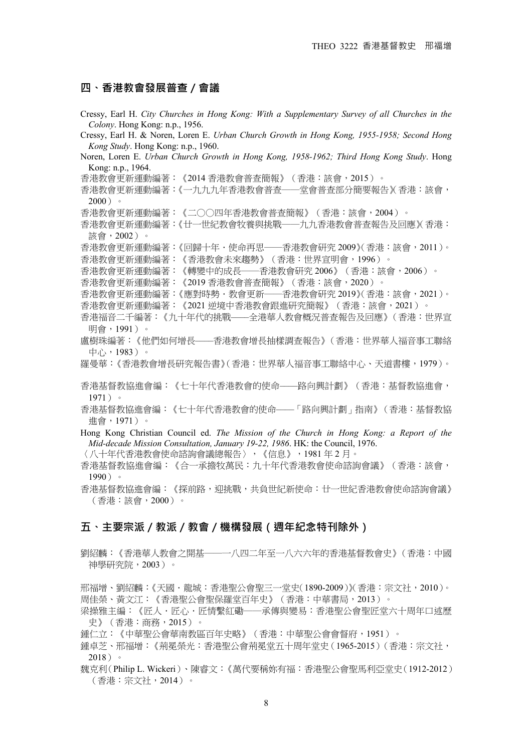#### **四、香港教會發展普查/會議**!

Cressy, Earl H. *City Churches in Hong Kong: With a Supplementary Survey of all Churches in the Colony*. Hong Kong: n.p., 1956. Cressy, Earl H. & Noren, Loren E. *Urban Church Growth in Hong Kong, 1955-1958; Second Hong Kong Study*. Hong Kong: n.p., 1960. Noren, Loren E. *Urban Church Growth in Hong Kong, 1958-1962; Third Hong Kong Study*. Hong Kong: n.p., 1964. 香港教會更新運動編著:《2014 香港教會普查簡報》(香港:該會,2015)。 香港教會更新運動編著:《一九九九年香港教會普查──堂會普查部分簡要報告》(香港:該會,  $2000$ )。 香港教會更新運動編著:《二○○四年香港教會普查簡報》(香港:該會,2004)。 香港教會更新運動編著:《廿一世紀教會牧養與挑戰──九九香港教會普查報告及回應》(香港: 該會,2002)。 香港教會更新運動編著:《回歸十年.使命再思──香港教會研究 2009》(香港:該會,2011)。 香港教會更新運動編著:《香港教會未來趨勢》(香港:世界宣明會,1996)。 香港教會更新運動編著:《轉變中的成長──香港教會研究 2006》(香港:該會,2006)。 香港教會更新運動編著:《2019 香港教會普查簡報》(香港:該會,2020)。 香港教會更新運動編著:《應對時勢.教會更新──香港教會研究 2019》(香港:該會,2021)。 香港教會更新運動編著:《2021 逆境中香港教會跟進研究簡報》(香港:該會,2021)。 香港福音二千編著:《九十年代的挑戰––––全港華人教會概況普查報告及回應》(香港:世界宣 明會,1991)。 盧樹珠編著:《他們如何增長––––香港教會增長抽樣調查報告》(香港:世界華人福音事工聯絡 中心,1983)。 羅曼華:《香港教會增長研究報告書》(香港:世界華人福音事工聯絡中心、天道書樓,1979)。 香港基督教協進會編:《七十年代香港教會的使命––––路向興計劃》(香港:基督教協進會, 1971)。 香港基督教協進會編:《七十年代香港教會的使命––––「路向興計劃」指南》(香港:基督教協 進會,1971)。 Hong Kong Christian Council ed. *The Mission of the Church in Hong Kong: a Report of the Mid-decade Mission Consultation, January 19-22, 1986*. HK: the Council, 1976. 〈八十年代香港教會使命諮詢會議總報告〉,《信息》,1981 年 2 月。 香港基督教協進會編:《合一承擔牧萬民:九十年代香港教會使命諮詢會議》(香港:該會, 1990)。 香港基督教協進會編:《探前路,迎挑戰,共負世紀新使命:廿一世紀香港教會使命諮詢會議》

#### **五、主要宗派/教派/教會/機構發展(週年紀念特刊除外)**!

(香港:該會,2000)。

劉紹麟:《香港華人教會之開基──一八四二年至一八六六年的香港基督教會史》(香港:中國 神學研究院,2003)。

邢福增、劉紹麟:《天國.龍城:香港聖公會聖三一堂史(1890-2009)》(香港:宗文社,2010)。 周佳榮、黃文江:《香港聖公會聖保羅堂百年史》(香港:中華書局,2013)。

梁操雅主編:《匠人·匠心·匠情繫紅磡——承傳與變易:香港聖公會聖匠堂六十周年口述歷 史》(香港:商務,2015)。

鍾仁立:《中華聖公會華南教區百年史略》(香港:中華聖公會會督府,1951)。

- 鍾卓芝、邢福增:《荊冕榮光:香港聖公會荊冕堂五十周年堂史(1965-2015)(香港:宗文社, 2018)。
- 魏克利(Philip L. Wickeri)、陳睿文:《萬代要稱妳有福:香港聖公會聖馬利亞堂史(1912-2012) (香港:宗文社,2014)。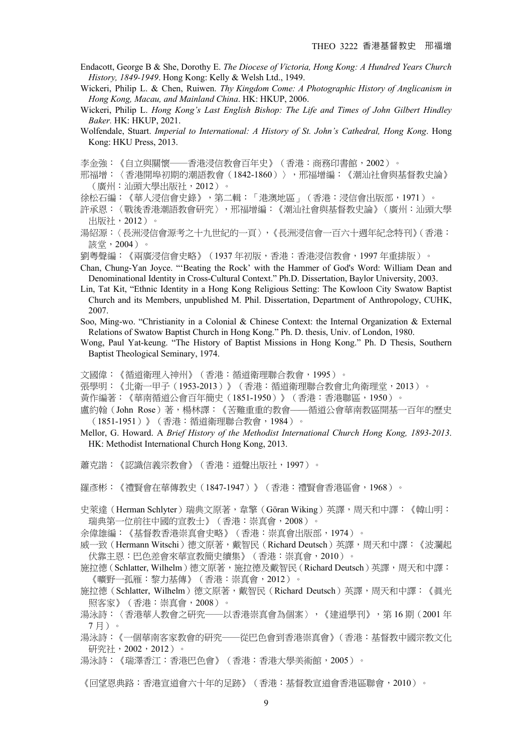- Endacott, George B & She, Dorothy E. *The Diocese of Victoria, Hong Kong: A Hundred Years Church History, 1849-1949*. Hong Kong: Kelly & Welsh Ltd., 1949.
- Wickeri, Philip L. & Chen, Ruiwen. *Thy Kingdom Come: A Photographic History of Anglicanism in Hong Kong, Macau, and Mainland China*. HK: HKUP, 2006.
- Wickeri, Philip L. *Hong Kong's Last English Bishop: The Life and Times of John Gilbert Hindley Baker.* HK: HKUP, 2021.
- Wolfendale, Stuart. *Imperial to International: A History of St. John's Cathedral, Hong Kong*. Hong Kong: HKU Press, 2013.
- 李金強:《自立與關懷──香港浸信教會百年史》(香港:商務印書館,2002)。
- 邢福增:〈香港開埠初期的潮語教會(1842-1860)〉, 邢福增編: 《潮汕社會與基督教史論》 (廣州:汕頭大學出版社,2012)。
- 徐松石編:《華人浸信會史錄》,第二輯:「港澳地區」(香港:浸信會出版部,1971)。
- 許承恩:〈戰後香港潮語教會研究〉,邢福增編:《潮汕社會與基督教史論》(廣州:汕頭大學 出版社,2012)。
- 湯紹源:〈長洲浸信會源考之十九世紀的一頁〉,《長洲浸信會一百六十週年紀念特刊》(香港: 該堂,2004)。
- 劉粵聲編:《兩廣浸信會史略》(1937 年初版,香港:香港浸信教會,1997 年重排版)。
- Chan, Chung-Yan Joyce. "'Beating the Rock' with the Hammer of God's Word: William Dean and Denominational Identity in Cross-Cultural Context." Ph.D. Dissertation, Baylor University, 2003.
- Lin, Tat Kit, "Ethnic Identity in a Hong Kong Religious Setting: The Kowloon City Swatow Baptist Church and its Members, unpublished M. Phil. Dissertation, Department of Anthropology, CUHK, 2007.
- Soo, Ming-wo. "Christianity in a Colonial & Chinese Context: the Internal Organization & External Relations of Swatow Baptist Church in Hong Kong." Ph. D. thesis, Univ. of London, 1980.
- Wong, Paul Yat-keung. "The History of Baptist Missions in Hong Kong." Ph. D Thesis, Southern Baptist Theological Seminary, 1974.
- 文國偉:《循道衛理入神州》(香港:循道衛理聯合教會,1995)。
- 張學明:《北衛一甲子(1953-2013)》(香港:循道衛理聯合教會北角衛理堂,2013)。
- 黃作編著:《華南循道公會百年簡史(1851-1950)》(香港:香港聯區,1950)。
- 盧約翰(John Rose)著,楊林譯:《苦難重重的教會——循道公會華南教區開基一百年的歷史 (1851-1951)》(香港:循道衛理聯合教會,1984)。
- Mellor, G. Howard. A *Brief History of the Methodist International Church Hong Kong, 1893-2013*. HK: Methodist International Church Hong Kong, 2013.
- 蕭克諧:《認識信義宗教會》(香港:道聲出版社,1997)。
- 羅彥彬:《禮賢會在華傳教史(1847-1947)》(香港:禮賢會香港區會,1968)。
- 史萊達(Herman Schlyter)瑞典文原著,韋擎(Göran Wiking)英譯,周天和中譯:《韓山明: 瑞典第一位前往中國的宣教士》(香港:崇真會,2008)。
- 余偉雄編:《基督教香港崇真會史略》(香港:崇真會出版部,1974)。
- 威一致(Hermann Witschi)德文原著,戴智民(Richard Deutsch)英譯,周天和中譯:《波瀾起 伏靠主恩:巴色差會來華宣教簡史續集》(香港:崇真會,2010)。
- 施拉德(Schlatter, Wilhelm)德文原著,施拉德及戴智民(Richard Deutsch)英譯,周天和中譯: 《曠野一孤雁:黎力基傳》(香港:崇真會,2012)。
- 施拉德(Schlatter, Wilhelm)德文原著,戴智民(Richard Deutsch)英譯,周天和中譯:《眞光 照客家》(香港:崇真會,2008)。
- 湯泳詩:〈香港華人教會之研究──以香港崇真會為個案〉,《建道學刊》,第 16 期(2001 年 7 月)。
- 湯泳詩:《一個華南客家教會的研究──從巴色會到香港崇真會》(香港:基督教中國宗教文化 研究社,2002,2012)。
- 湯泳詩:《瑞澤香江:香港巴色會》(香港:香港大學美術館,2005)。

《回望恩典路:香港宣道會六十年的足跡》(香港:基督教宣道會香港區聯會,2010)。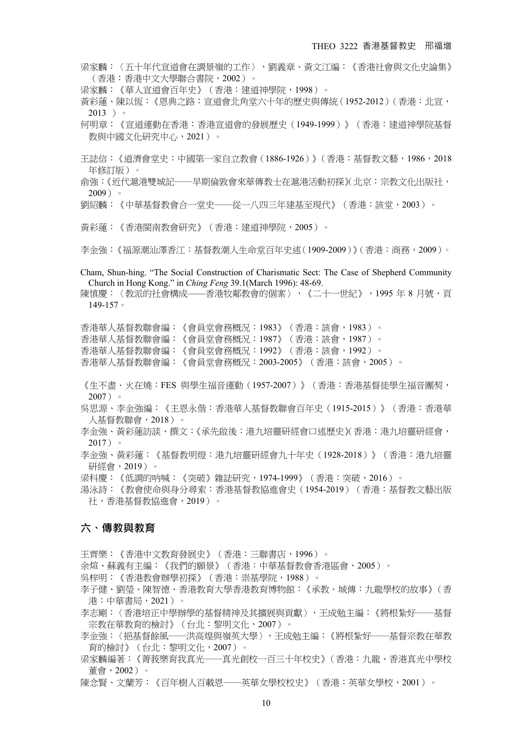梁家麟:〈五十年代宣道會在調景嶺的工作〉,劉義章、黃文江編:《香港社會與文化史論集》 (香港:香港中文大學聯合書院,2002)。

梁家麟:《華人宣道會百年史》(香港:建道神學院,1998)。

- 黃彩蓮、陳以恆:《恩典之路:宣道會北角堂六十年的歷史與傳統(1952-2012)(香港:北宣, 2013 )。
- 何明章:《宣道運動在香港:香港宣道會的發展歷史(1949-1999)》(香港:建道神學院基督 教與中國文化研究中心, 2021)。
- 王誌信:《道濟會堂史:中國第一家自立教會(1886-1926)》(香港:基督教文藝,1986,2018 年修訂版)。

俞強:《近代滬港雙城記──早期倫敦會來華傳教士在滬港活動初探》(北京:宗教文化出版社, 2009)。

- 劉紹麟:《中華基督教會合一堂史──從一八四三年建基至現代》(香港:該堂,2003)。
- 黃彩蓮:《香港閩南教會研究》(香港:建道神學院,2005)。
- 李金強:《福源潮汕澤香江:基督教潮人生命堂百年史述(1909-2009)》(香港:商務,2009)。

Cham, Shun-hing. "The Social Construction of Charismatic Sect: The Case of Shepherd Community Church in Hong Kong." in *Ching Feng* 39.1(March 1996): 48-69.

陳慎慶:〈教派的社會構成——香港牧鄰教會的個案〉,《二十一世紀》,1995 年 8 月號,頁 149-157。

香港華人基督教聯會編:《會員堂會務概況:1983》(香港:該會,1983)。 香港華人基督教聯會編:《會員堂會務概況:1987》(香港:該會,1987)。 香港華人基督教聯會編:《會員堂會務概況:1992》(香港:該會,1992)。 香港華人基督教聯會編:《會員堂會務概況:2003-2005》(香港:該會,2005)。

《生不盡·火在燒:FES 與學生福音運動(1957-2007)》(香港:香港基督徒學生福音團契, 2007)。

吳思源、李金強編:《主恩永偕:香港華人基督教聯會百年史(1915-2015)》(香港:香港華 人基督教聯會,2018)。

- 李金強、黃彩蓮訪談、撰文:《承先啟後:港九培靈研經會口述歷史》(香港:港九培靈研經會, 2017)。
- 李金強、黃彩蓮:《基督教明燈:港九培靈研經會九十年史(1928-2018)》(香港:港九培靈 研經會,2019)。
- 梁科慶:《低調的吶喊:《突破》雜誌研究,1974-1999》(香港:突破,2016)。
- 湯泳詩:《教會使命與身分尋索:香港基督教協進會史(1954-2019)(香港:基督教文藝出版 社,香港基督教協進會,2019)。

#### **六、傳教與教育**!

王齊樂:《香港中文教育發展史》(香港:三聯書店,1996)。

余煊、蘇義有主編:《我們的願景》(香港:中華基督教會香港區會,2005)。

- 吳梓明:《香港教會辦學初探》(香港:崇基學院,1988)。
- 李子健、劉瑩、陳智德、香港教育大學香港教育博物館:《承教‧城傳:九龍學校的故事》(香 港:中華書局,2021)。
- 李志剛:〈香港培正中學辦學的基督精神及其擴展與貢獻〉,王成勉主編:《將根紮好──基督 宗教在華教育的檢討》(台北:黎明文化,2007)。
- 李金強:〈挹基督餘風──洪高煌與嶺英大學〉,王成勉主編:《將根紮好──基督宗教在華教 育的檢討》(台北:黎明文化,2007)。
- 梁家麟編著:《菁莪樂育我真光──真光創校一百三十年校史》(香港:九龍、香港真光中學校 董會,2002)。
- 陳念賢、文蘭芳:《百年樹人百載恩──英華女學校校史》(香港:英華女學校,2001)。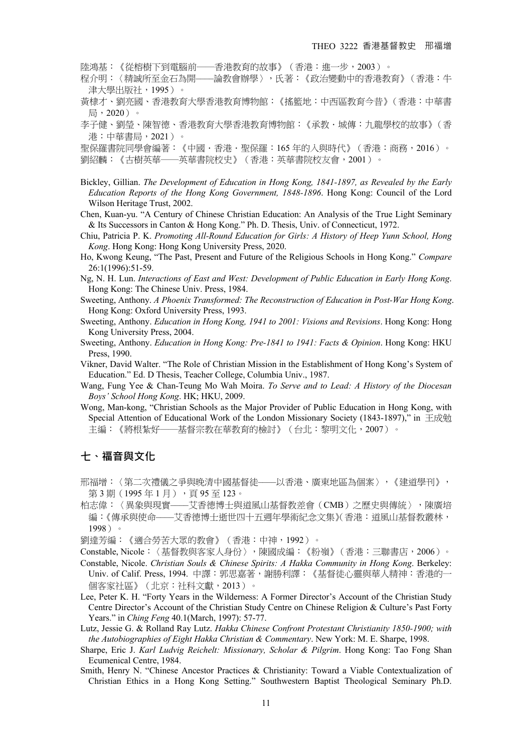陸鴻基:《從榕樹下到電腦前──香港教育的故事》(香港:進一步,2003)。

程介明:〈精誠所至金石為開––––論教會辦學〉,氏著:《政治變動中的香港教育》(香港:牛 津大學出版社,1995)。

- 黃棣才、劉亮國、香港教育大學香港教育博物館:《搖籃地:中西區教育今昔》(香港:中華書 局,2020)。
- 李子健、劉瑩、陳智德、香港教育大學香港教育博物館:《承教‧城傳:九龍學校的故事》(香 港:中華書局,2021)。

聖保羅書院同學會編著:《中國·香港·聖保羅:165 年的入與時代》(香港:商務, 2016)。 劉紹麟:《古樹英華──英華書院校史》(香港:英華書院校友會,2001)。

- Bickley, Gillian. *The Development of Education in Hong Kong, 1841-1897, as Revealed by the Early Education Reports of the Hong Kong Government, 1848-1896*. Hong Kong: Council of the Lord Wilson Heritage Trust, 2002.
- Chen, Kuan-yu. "A Century of Chinese Christian Education: An Analysis of the True Light Seminary & Its Successors in Canton & Hong Kong." Ph. D. Thesis, Univ. of Connecticut, 1972.
- Chiu, Patricia P. K. *Promoting All-Round Education for Girls: A History of Heep Yunn School, Hong Kong*. Hong Kong: Hong Kong University Press, 2020.
- Ho, Kwong Keung, "The Past, Present and Future of the Religious Schools in Hong Kong." *Compare* 26:1(1996):51-59.
- Ng, N. H. Lun. *Interactions of East and West: Development of Public Education in Early Hong Kong*. Hong Kong: The Chinese Univ. Press, 1984.
- Sweeting, Anthony. *A Phoenix Transformed: The Reconstruction of Education in Post-War Hong Kong*. Hong Kong: Oxford University Press, 1993.
- Sweeting, Anthony. *Education in Hong Kong, 1941 to 2001: Visions and Revisions*. Hong Kong: Hong Kong University Press, 2004.
- Sweeting, Anthony. *Education in Hong Kong: Pre-1841 to 1941: Facts & Opinion*. Hong Kong: HKU Press, 1990.
- Vikner, David Walter. "The Role of Christian Mission in the Establishment of Hong Kong's System of Education." Ed. D Thesis, Teacher College, Columbia Univ., 1987.
- Wang, Fung Yee & Chan-Teung Mo Wah Moira. *To Serve and to Lead: A History of the Diocesan Boys' School Hong Kong*. HK; HKU, 2009.
- Wong, Man-kong, "Christian Schools as the Major Provider of Public Education in Hong Kong, with Special Attention of Educational Work of the London Missionary Society (1843-1897)," in 王成勉 主編:《將根紮好——基督宗教在華教育的檢討》(台北:黎明文化,2007)。

#### **七、福音與文化**!

- 邢福增:〈第二次禮儀之爭與晚清中國基督徒––––以香港、廣東地區為個案〉,《建道學刊》, 第3期 (1995年1月),頁 95至 123。
- 柏志偉:〈異象與現實–––艾香德博士與道風山基督教差會(CMB)之歷史與傳統〉,陳廣培 編:《傳承與使命––––艾香德博士逝世四十五週年學術紀念文集》(香港:道風山基督教叢林, 1998)。

劉達芳編:《適合勞苦大眾的教會》(香港:中神,1992)。

Constable, Nicole:〈基督教與客家人身份〉,陳國成編:《粉嶺》(香港:三聯書店,2006)。

Constable, Nicole. *Christian Souls & Chinese Spirits: A Hakka Community in Hong Kong*. Berkeley: Univ. of Calif. Press, 1994. 中譯:郭思嘉著,謝勝利譯:《基督徒心靈與華人精神:香港的一 個客家社區》(北京:社科文獻,2013)。

Lee, Peter K. H. "Forty Years in the Wilderness: A Former Director's Account of the Christian Study Centre Director's Account of the Christian Study Centre on Chinese Religion & Culture's Past Forty Years." in *Ching Feng* 40.1(March, 1997): 57-77.

Lutz, Jessie G. & Rolland Ray Lutz. *Hakka Chinese Confront Protestant Christianity 1850-1900; with the Autobiographies of Eight Hakka Christian & Commentary*. New York: M. E. Sharpe, 1998.

- Sharpe, Eric J. *Karl Ludvig Reichelt: Missionary, Scholar & Pilgrim*. Hong Kong: Tao Fong Shan Ecumenical Centre, 1984.
- Smith, Henry N. "Chinese Ancestor Practices & Christianity: Toward a Viable Contextualization of Christian Ethics in a Hong Kong Setting." Southwestern Baptist Theological Seminary Ph.D.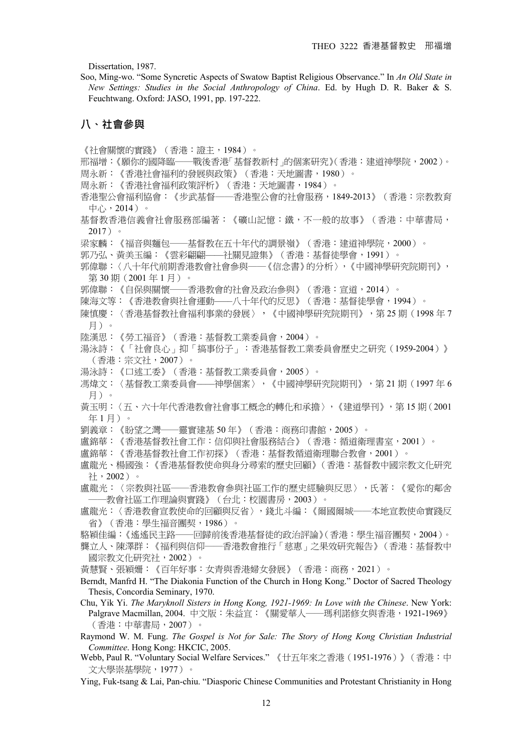Dissertation, 1987.

Soo, Ming-wo. "Some Syncretic Aspects of Swatow Baptist Religious Observance." In *An Old State in New Settings: Studies in the Social Anthropology of China*. Ed. by Hugh D. R. Baker & S. Feuchtwang. Oxford: JASO, 1991, pp. 197-222.

#### **八、社會參與**!

《社會關懷的實踐》(香港:證主,1984)。 邢福增:《願你的國降臨──戰後香港「基督教新村」的個案研究》(香港:建道神學院,2002)。 周永新:《香港社會福利的發展與政策》(香港:天地圖書,1980)。 周永新:《香港社會福利政策評析》(香港:天地圖書,1984)。 香港聖公會福利協會:《步武基督──香港聖公會的社會服務,1849-2013》(香港:宗教教育 中心,2014)。 基督教香港信義會社會服務部編著:《礦山記憶:鐵,不一般的故事》(香港:中華書局, 2017)。 梁家麟:《福音與麵包——基督教在五十年代的調景嶺》(香港:建道神學院,2000)。 郭乃弘、黃美玉編:《雲彩翩翩––––社關見證集》(香港:基督徒學會,1991)。 郭偉聯:〈八十年代前期香港教會社會參與──《信念書》的分析〉,《中國神學研究院期刊》, 第 30 期 (2001年1月)。 郭偉聯:《自保與關懷──香港教會的社會及政治參與》(香港:宣道,2014)。 陳海文等:《香港教會與社會運動––––八十年代的反思》(香港:基督徒學會,1994)。 陳慎慶:〈香港基督教社會福利事業的發展〉,《中國神學研究院期刊》,第 25 期(1998 年 7 月)。 陸漢思:《勞工福音》(香港:基督教工業委員會,2004)。 湯泳詩:《「社會良心」抑「搞事份子」:香港基督教工業委員會歷史之研究(1959-2004)》 (香港:宗文社,2007)。 湯泳詩:《口述工委》(香港:基督教工業委員會,2005)。 馮煒文:〈基督教工業委員會––––神學個案〉,《中國神學研究院期刊》,第 21 期(1997 年 6 月)。 黃玉明:〈五、六十年代香港教會社會事工概念的轉化和承擔〉,《建道學刊》,第 15 期(2001 年 1 月)。 劉義章:《盼望之灣──靈實建基 50 年》(香港:商務印書館,2005)。 盧錦華:《香港基督教社會工作:信仰與社會服務結合》(香港:循道衛理書室,2001)。 盧錦華:《香港基督教社會工作初探》(香港:基督教循道衛理聯合教會,2001)。 盧龍光、楊國強:《香港基督教使命與身分尋索的歷史回顧》(香港:基督教中國宗教文化研究 社,2002)。 盧龍光:〈宗教與社區──香港教會參與社區工作的歷史經驗與反思〉,氏著:《愛你的鄰舍 -教會社區工作理論與實踐》(台北:校園書房,2003)。 盧龍光:〈香港教會宣教使命的回顧與反省〉,錢北斗編:《爾國爾城──本地宣教使命實踐反 省》(香港:學生福音團契,1986)。 駱穎佳編:《遙遙民主路──回歸前後香港基督徒的政治評論》(香港:學生福音團契,2004)。 龔立人、陳澤群:《福利與信仰──香港教會推行「慈惠」之果效研究報告》(香港:基督教中 國宗教文化研究社,2002)。 黃慧賢、張穎姍:《百年好事:女青與香港婦女發展》(香港:商務,2021)。 Berndt, Manfrd H. "The Diakonia Function of the Church in Hong Kong." Doctor of Sacred Theology Thesis, Concordia Seminary, 1970. Chu, Yik Yi. *The Maryknoll Sisters in Hong Kong, 1921-1969: In Love with the Chinese*. New York: Palgrave Macmillan, 2004. 中文版:朱益宜:《關愛華人──瑪利諾修女與香港,1921-1969》 (香港:中華書局,2007)。 Raymond W. M. Fung. *The Gospel is Not for Sale: The Story of Hong Kong Christian Industrial Committee*. Hong Kong: HKCIC, 2005.

Webb, Paul R. "Voluntary Social Welfare Services."《廿五年來之香港(1951-1976)》(香港:中 文大學崇基學院,1977)。

Ying, Fuk-tsang & Lai, Pan-chiu. "Diasporic Chinese Communities and Protestant Christianity in Hong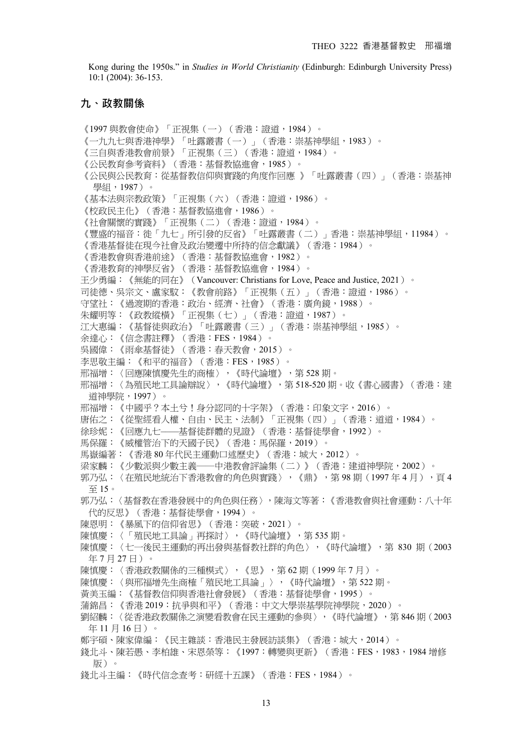Kong during the 1950s." in *Studies in World Christianity* (Edinburgh: Edinburgh University Press) 10:1 (2004): 36-153.

#### **九、政教關係**!

《1997 與教會使命》「正視集(一)(香港:證道,1984)。 《一九九七與香港神學》「吐露叢書(一)」(香港:崇基神學組,1983)。 《三自與香港教會前景》「正視集(三)(香港:證道,1984)。 《公民教育參考資料》(香港:基督教協進會,1985)。 《公民與公民教育:從基督教信仰與實踐的角度作回應 》「吐露叢書(四)」(香港:崇基神 學組,1987)。 《基本法與宗教政策》「正視集(六)(香港:證道,1986)。 《校政民主化》(香港:基督教協進會,1986)。 《社會關懷的實踐》「正視集(二)(香港:證道,1984)。 《豐盛的福音:徙「九七」所引發的反省》「吐露叢書(二)」香港:崇基神學組,11984)。 《香港基督徒在現今社會及政治變遷中所持的信念獻議》(香港:1984)。 《香港教會與香港前途》(香港:基督教協進會,1982)。 《香港教育的神學反省》(香港:基督教協進會,1984)。 王少勇編:《無能的同在》(Vancouver: Christians for Love, Peace and Justice, 2021)。 司徒德、吳宗文、盧家馼:《教會前路》「正視集(五)」(香港:證道,1986)。 守望社:《過渡期的香港:政治、經濟、社會》(香港:廣角鏡,1988)。 朱耀明等:《政教縱橫》「正視集(七)」(香港:證道,1987)。 江大惠編:《基督徒與政治》「吐露叢書(三)」(香港:崇基神學組,1985)。 余達心:《信念書註釋》(香港:FES,1984)。 吳國偉:《雨傘基督徒》(香港:春天教會,2015)。 李思敬主編:《和平的福音》(香港:FES,1985)。 邢福增:〈回應陳慎慶先生的商榷〉,《時代論壇》,第 528 期。 邢福增:〈為殖民地工具論辯說〉,《時代論壇》,第 518-520 期。收《書心國書》(香港:建 道神學院,1997)。 邢福增:《中國乎?本土兮!身分認同的十字架》(香港:印象文字,2016)。 唐佑之:《從聖經看人權、自由、民主、法制》「正視集(四)」(香港:道道,1984)。 徐珍妮:《回應九七––––基督徒群體的見證》(香港:基督徒學會,1992)。 馬保羅:《威權管治下的天國子民》(香港:馬保羅,2019)。 馬嶽編著:《香港 80 年代民主運動口述歷史》(香港:城大,2012)。 梁家麟:《少數派與少數主義——中港教會評論集(二)》(香港:建道神學院,2002)。 郭乃弘:〈在殖民地統治下香港教會的角色與實踐〉,《鼎》,第98期(1997年4月),頁4 至 15。 郭乃弘:〈基督教在香港發展中的角色與任務〉,陳海文等著:《香港教會與社會運動:八十年 代的反思》(香港:基督徒學會,1994)。 陳恩明:《暴風下的信仰省思》(香港:突破,2021)。 陳慎慶:〈「殖民地工具論」再探討〉,《時代論壇》,第 535 期。 陳慎慶:〈七一後民主運動的再出發與基督教社群的角色〉,《時代論壇》,第 830 期 (2003 年 7 月 27 日)。 陳慎慶:〈香港政教關係的三種模式〉,《思》,第62期(1999年7月)。 陳慎慶:〈與邢福增先生商榷「殖民地工具論」〉,《時代論壇》,第 522 期。 黃美玉編:《基督教信仰與香港社會發展》(香港:基督徒學會,1995)。 蒲錦昌:《香港 2019:抗爭與和平》(香港:中文大學崇基學院神學院,2020)。 劉紹麟:〈從香港政教關係之演變看教會在民主運動的參與〉,《時代論壇》,第 846 期(2003 年 11 月 16 日)。 鄭宇碩、陳家偉編:《民主雜談:香港民主發展訪談集》(香港:城大,2014)。 錢北斗、陳若愚、李柏雄、宋恩榮等:《1997:轉變與更新》(香港:FES,1983,1984 增修 版)。 錢北斗主編:《時代信念查考:研經十五課》(香港:FES,1984)。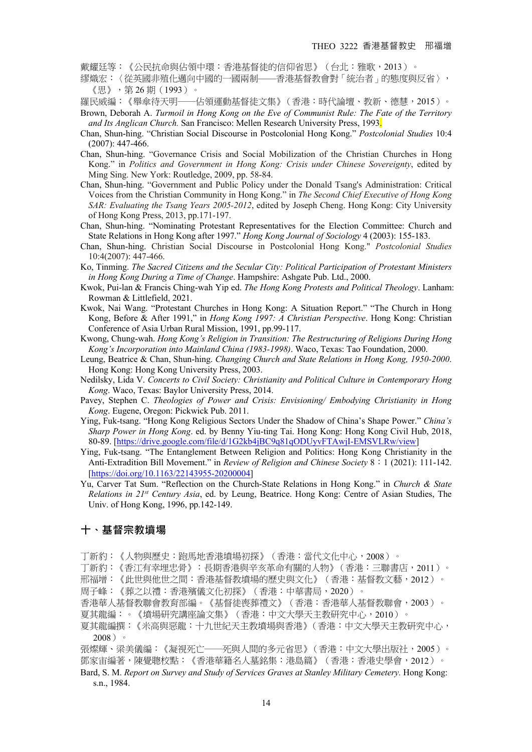戴耀廷等:《公民抗命與佔領中環:香港基督徒的信仰省思》(台北:雅歌,2013)。

繆熾宏:〈從英國非殖化邁向中國的一國兩制––––香港基督教會對「統治者」的態度與反省〉, 《思》,第 26 期(1993)。

羅民威編:《舉傘待天明——佔領運動基督徒文集》(香港:時代論壇、教新、德慧,2015)。

- Brown, Deborah A. *Turmoil in Hong Kong on the Eve of Communist Rule: The Fate of the Territory and Its Anglican Church.* San Francisco: Mellen Research University Press, 1993.
- Chan, Shun-hing. "Christian Social Discourse in Postcolonial Hong Kong." *Postcolonial Studies* 10:4 (2007): 447-466.
- Chan, Shun-hing. "Governance Crisis and Social Mobilization of the Christian Churches in Hong Kong." in *Politics and Government in Hong Kong: Crisis under Chinese Sovereignty*, edited by Ming Sing. New York: Routledge, 2009, pp. 58-84.
- Chan, Shun-hing. "Government and Public Policy under the Donald Tsang's Administration: Critical Voices from the Christian Community in Hong Kong." in *The Second Chief Executive of Hong Kong SAR: Evaluating the Tsang Years 2005-2012*, edited by Joseph Cheng. Hong Kong: City University of Hong Kong Press, 2013, pp.171-197.
- Chan, Shun-hing. "Nominating Protestant Representatives for the Election Committee: Church and State Relations in Hong Kong after 1997." *Hong Kong Journal of Sociology* 4 (2003): 155-183.
- Chan, Shun-hing. Christian Social Discourse in Postcolonial Hong Kong." *Postcolonial Studies*  10:4(2007): 447-466.
- Ko, Tinming. *The Sacred Citizens and the Secular City: Political Participation of Protestant Ministers in Hong Kong During a Time of Change*. Hampshire: Ashgate Pub. Ltd., 2000.
- Kwok, Pui-lan & Francis Ching-wah Yip ed. *The Hong Kong Protests and Political Theology*. Lanham: Rowman & Littlefield, 2021.
- Kwok, Nai Wang. "Protestant Churches in Hong Kong: A Situation Report." "The Church in Hong Kong, Before & After 1991," in *Hong Kong 1997: A Christian Perspective*. Hong Kong: Christian Conference of Asia Urban Rural Mission, 1991, pp.99-117.
- Kwong, Chung-wah. *Hong Kong's Religion in Transition: The Restructuring of Religions During Hong Kong's Incorporation into Mainland China (1983-1998)*. Waco, Texas: Tao Foundation, 2000.
- Leung, Beatrice & Chan, Shun-hing. *Changing Church and State Relations in Hong Kong, 1950-2000*. Hong Kong: Hong Kong University Press, 2003.
- Nedilsky, Lida V. *Concerts to Civil Society: Christianity and Political Culture in Contemporary Hong Kong*. Waco, Texas: Baylor University Press, 2014.
- Pavey, Stephen C. *Theologies of Power and Crisis: Envisioning/ Embodying Christianity in Hong Kong*. Eugene, Oregon: Pickwick Pub. 2011.
- Ying, Fuk-tsang. "Hong Kong Religious Sectors Under the Shadow of China's Shape Power." *China's Sharp Power in Hong Kong*. ed. by Benny Yiu-ting Tai. Hong Kong: Hong Kong Civil Hub, 2018, 80-89. [https://drive.google.com/file/d/1G2kb4jBC9q81qODUyvFTAwjI-EMSVLRw/view]
- Ying, Fuk-tsang. "The Entanglement Between Religion and Politics: Hong Kong Christianity in the Anti-Extradition Bill Movement." in *Review of Religion and Chinese Society* 8:1 (2021): 111-142. [https://doi.org/10.1163/22143955-20200004]
- Yu, Carver Tat Sum. "Reflection on the Church-State Relations in Hong Kong." in *Church & State Relations in 21st Century Asia*, ed. by Leung, Beatrice. Hong Kong: Centre of Asian Studies, The Univ. of Hong Kong, 1996, pp.142-149.

#### **十、基督宗教墳場**!

- 丁新豹:《人物與歷史:跑馬地香港墳場初探》(香港:當代文化中心,2008)。
- 丁新豹:《香江有幸埋忠骨》:長期香港與辛亥革命有關的人物》(香港:三聯書店,2011)。
- 邢福增:《此世與他世之間:香港基督教墳場的歷史與文化》(香港:基督教文藝,2012)。
- 周子峰:《葬之以禮:香港殯儀文化初探》(香港:中華書局,2020)。
- 香港華人基督教聯會教育部編。《基督徒喪葬禮文》(香港:香港華人基督教聯會,2003)。 夏其龍編:。《墳場研究講座論文集》(香港:中文大學天主教研究中心,2010)。
- 夏其龍編撰:《米高與惡龍:十九世紀天主教墳場與香港》(香港:中文大學天主教研究中心, 2008)。
- 張燦輝、梁美儀編:《凝視死亡──死與人間的多元省思》(香港:中文大學出版社,2005)。 鄧家宙編著,陳覺聰校點:《香港華籍名人墓銘集:港島篇》(香港:香港史學會,2012)。
- Bard, S. M. *Report on Survey and Study of Services Graves at Stanley Military Cemetery*. Hong Kong: s.n., 1984.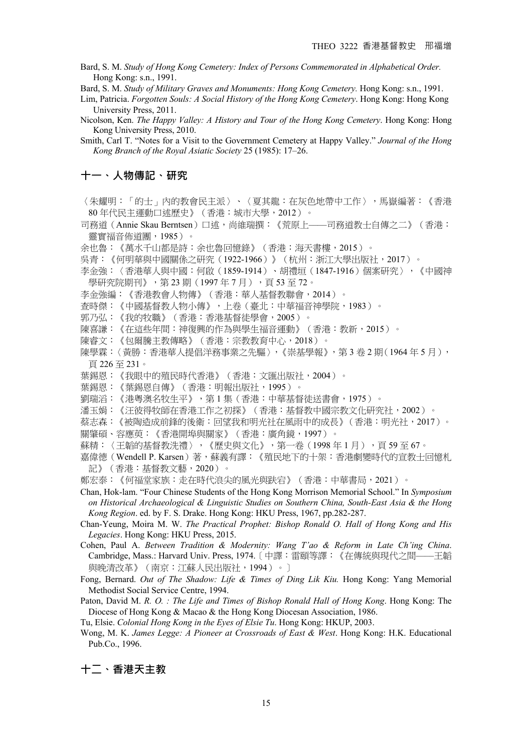Bard, S. M. *Study of Hong Kong Cemetery: Index of Persons Commemorated in Alphabetical Order.*  Hong Kong: s.n., 1991.

Bard, S. M. *Study of Military Graves and Monuments: Hong Kong Cemetery.* Hong Kong: s.n., 1991.

- Lim, Patricia. *Forgotten Souls: A Social History of the Hong Kong Cemetery*. Hong Kong: Hong Kong University Press, 2011.
- Nicolson, Ken. *The Happy Valley: A History and Tour of the Hong Kong Cemetery*. Hong Kong: Hong Kong University Press, 2010.

Smith, Carl T. "Notes for a Visit to the Government Cemetery at Happy Valley." *Journal of the Hong Kong Branch of the Royal Asiatic Society* 25 (1985): 17–26.

#### **十一、人物傳記、研究**!

〈朱耀明:「的士」內的教會民主派〉、〈夏其龍:在灰色地帶中工作〉,馬嶽編著:《香港 80 年代民主運動口述歷史》(香港:城市大學,2012)。

司務道(Annie Skau Berntsen)口述,尚維瑞撰:《荒原上——司務道教士自傳之二》(香港: 靈實福音佈道團,1985)。

- 余也魯:《萬水千山都是詩:余也魯回憶錄》(香港:海天書樓,2015)。
- 吳青:《何明華與中國關係之研究(1922-1966)》(杭州:浙江大學出版社,2017)。
- 李金強:〈香港華人與中國:何啟(1859-1914)、胡禮垣(1847-1916)個案研究〉,《中國神 學研究院期刊》,第 23 期(1997 年 7 月),頁 53 至 72。
- 李金強編:《香港教會人物傳》(香港:華人基督教聯會,2014)。
- 查時傑:《中國基督教人物小傳》,上卷(臺北:中華福音神學院,1983)。
- 郭乃弘:《我的牧職》(香港:香港基督徒學會,2005)。
- 陳喜謙:《在這些年間:神復興的作為與學生福音運動》(香港:教新,2015)。
- 陳睿文:《包爾騰主教傳略》(香港:宗教教育中心,2018)。
- 陳學霖:〈黃勝:香港華人提倡洋務事業之先驅〉,《崇基學報》,第3卷2期(1964年5月), 頁 226 至 231。
- 葉錫恩:《我眼中的殖民時代香港》(香港:文匯出版社,2004)。
- 葉錫恩:《葉錫恩自傳》(香港:明報出版社,1995)。
- 劉瑞滔:《港粵澳名牧生平》,第 1 集(香港:中華基督徒送書會,1975)。
- 潘玉娟:《汪彼得牧師在香港工作之初探》(香港:基督教中國宗教文化研究社,2002)。
- 蔡志森:《被陶造成前鋒的後衛:回望我和明光社在風雨中的成長》(香港:明光社,2017)。
- 關肇碩、容應萸:《香港開埠與關家》(香港:廣角鏡,1997)。
- 蘇精:〈王韜的基督教洗禮〉,《歷史與文化》,第一卷(1998年1月),頁59至67。
- 嘉偉德(Wendell P. Karsen)著,蘇義有譯:《殖民地下的十架:香港劇變時代的宣教士回憶札 記》(香港:基督教文藝,2020)。
- 鄭宏泰:《何福堂家族:走在時代浪尖的風光與趺宕》(香港:中華書局,2021)。
- Chan, Hok-lam. "Four Chinese Students of the Hong Kong Morrison Memorial School." In *Symposium on Historical Archaeological & Linguistic Studies on Southern China, South-East Asia & the Hong Kong Region*. ed. by F. S. Drake. Hong Kong: HKU Press, 1967, pp.282-287.
- Chan-Yeung, Moira M. W. *The Practical Prophet: Bishop Ronald O. Hall of Hong Kong and His Legacies*. Hong Kong: HKU Press, 2015.
- Cohen, Paul A. *Between Tradition & Modernity: Wang T'ao & Reform in Late Ch'ing China*. Cambridge, Mass.: Harvard Univ. Press, 1974.〔中譯:雷頤等譯:《在傳統與現代之間––––王韜 與晚清改革》(南京:江蘇人民出版社,1994)。〕
- Fong, Bernard. *Out of The Shadow: Life & Times of Ding Lik Kiu.* Hong Kong: Yang Memorial Methodist Social Service Centre, 1994.

Paton, David M. *R. O. : The Life and Times of Bishop Ronald Hall of Hong Kong*. Hong Kong: The Diocese of Hong Kong & Macao & the Hong Kong Diocesan Association, 1986.

- Tu, Elsie. *Colonial Hong Kong in the Eyes of Elsie Tu*. Hong Kong: HKUP, 2003.
- Wong, M. K. *James Legge: A Pioneer at Crossroads of East & West*. Hong Kong: H.K. Educational Pub.Co., 1996.

#### **十二、香港天主教**